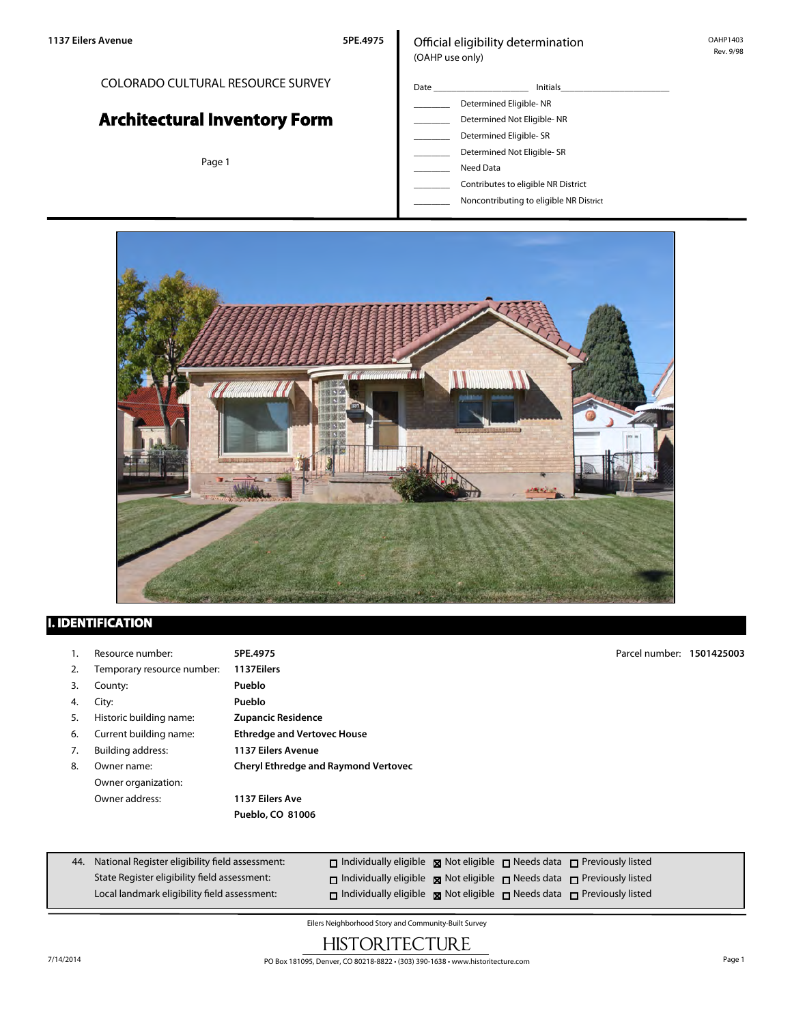## COLORADO CULTURAL RESOURCE SURVEY

# **Architectural Inventory Form**

Page 1

#### Official eligibility determination (OAHP use only)

- Date \_\_\_\_\_\_\_\_\_\_\_\_\_\_\_\_\_\_\_\_\_ Initials\_\_\_\_\_\_\_\_\_\_\_\_\_\_\_\_\_\_\_\_\_\_\_\_ Determined Eligible- NR Determined Not Eligible- NR Determined Eligible- SR Determined Not Eligible- SR
	- \_\_\_\_\_\_\_\_ Need Data
	- \_\_\_\_\_\_\_\_ Contributes to eligible NR District
	- \_\_\_\_\_\_\_\_ Noncontributing to eligible NR District



## **I. IDENTIFICATION**

| 1. | Resource number:           | 5PE.4975                                    | Parcel number: 1501425003 |  |
|----|----------------------------|---------------------------------------------|---------------------------|--|
| 2. | Temporary resource number: | 1137Eilers                                  |                           |  |
| 3. | County:                    | Pueblo                                      |                           |  |
| 4. | City:                      | Pueblo                                      |                           |  |
| 5. | Historic building name:    | <b>Zupancic Residence</b>                   |                           |  |
| 6. | Current building name:     | <b>Ethredge and Vertovec House</b>          |                           |  |
| 7. | <b>Building address:</b>   | <b>1137 Eilers Avenue</b>                   |                           |  |
| 8. | Owner name:                | <b>Cheryl Ethredge and Raymond Vertovec</b> |                           |  |
|    | Owner organization:        |                                             |                           |  |
|    | Owner address:             | 1137 Eilers Ave                             |                           |  |
|    |                            | Pueblo, CO 81006                            |                           |  |
|    |                            |                                             |                           |  |

| 44. National Register eligibility field assessment: | $\Box$ Individually eligible $\boxtimes$ Not eligible $\Box$ Needs data $\Box$ Previously listed |  |  |
|-----------------------------------------------------|--------------------------------------------------------------------------------------------------|--|--|
| State Register eligibility field assessment:        | $\Box$ Individually eligible $\boxtimes$ Not eligible $\Box$ Needs data $\Box$ Previously listed |  |  |
| Local landmark eligibility field assessment:        | □ Individually eligible ■ Not eligible □ Needs data □ Previously listed                          |  |  |

Eilers Neighborhood Story and Community-Built Survey

## **HISTORITECTURE**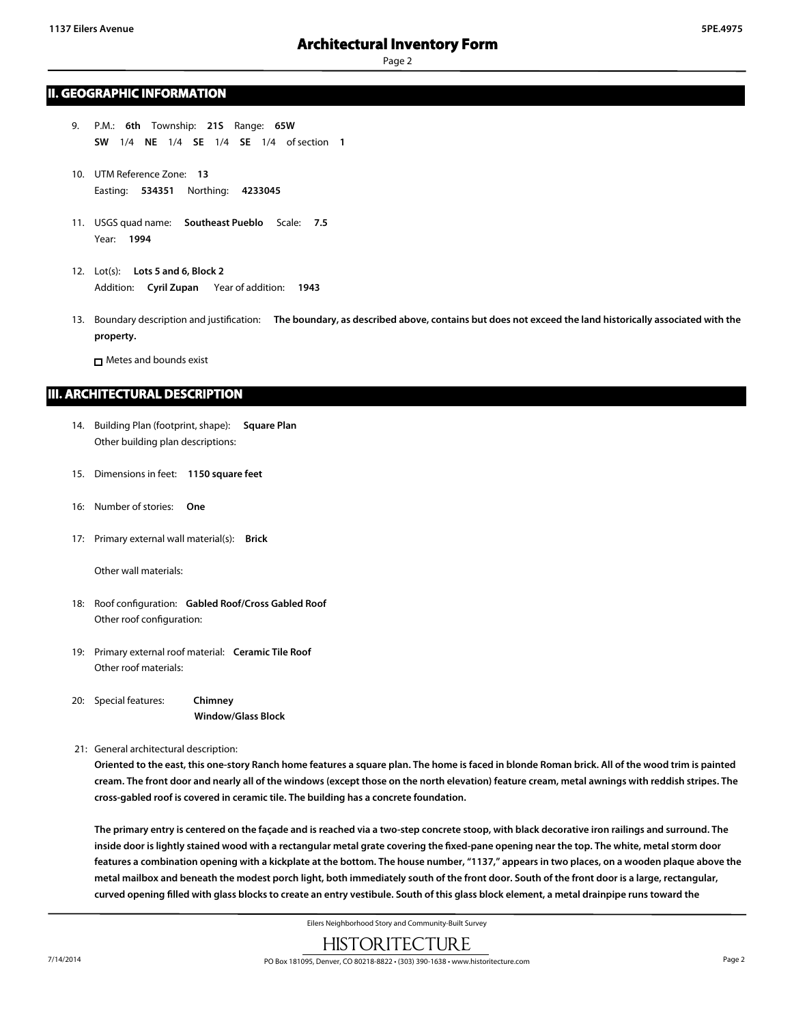#### **II. GEOGRAPHIC INFORMATION**

- 9. P.M.: **6th** Township: **21S** Range: **65W SW** 1/4 **NE** 1/4 **SE** 1/4 **SE** 1/4 of section **1**
- 10. UTM Reference Zone: **13** Easting: **534351** Northing: **4233045**
- 11. USGS quad name: **Southeast Pueblo** Scale: **7.5** Year: **1994**
- 12. Lot(s): **Lots 5 and 6, Block 2** Addition: **Cyril Zupan** Year of addition: **1943**
- 13. Boundary description and justification: **The boundary, as described above, contains but does not exceed the land historically associated with the property.**

□ Metes and bounds exist

#### **III. ARCHITECTURAL DESCRIPTION**

- 14. Building Plan (footprint, shape): **Square Plan** Other building plan descriptions:
- 15. Dimensions in feet: **1150 square feet**
- 16: Number of stories: **One**
- 17: Primary external wall material(s): **Brick**

Other wall materials:

- 18: Roof configuration: **Gabled Roof/Cross Gabled Roof** Other roof configuration:
- 19: Primary external roof material: **Ceramic Tile Roof** Other roof materials:
- 20: Special features: **Chimney Window/Glass Block**
- 21: General architectural description:

**Oriented to the east, this one-story Ranch home features a square plan. The home is faced in blonde Roman brick. All of the wood trim is painted cream. The front door and nearly all of the windows (except those on the north elevation) feature cream, metal awnings with reddish stripes. The cross-gabled roof is covered in ceramic tile. The building has a concrete foundation.**

**The primary entry is centered on the façade and is reached via a two-step concrete stoop, with black decorative iron railings and surround. The inside door is lightly stained wood with a rectangular metal grate covering the fixed-pane opening near the top. The white, metal storm door features a combination opening with a kickplate at the bottom. The house number, "1137," appears in two places, on a wooden plaque above the metal mailbox and beneath the modest porch light, both immediately south of the front door. South of the front door is a large, rectangular, curved opening filled with glass blocks to create an entry vestibule. South of this glass block element, a metal drainpipe runs toward the**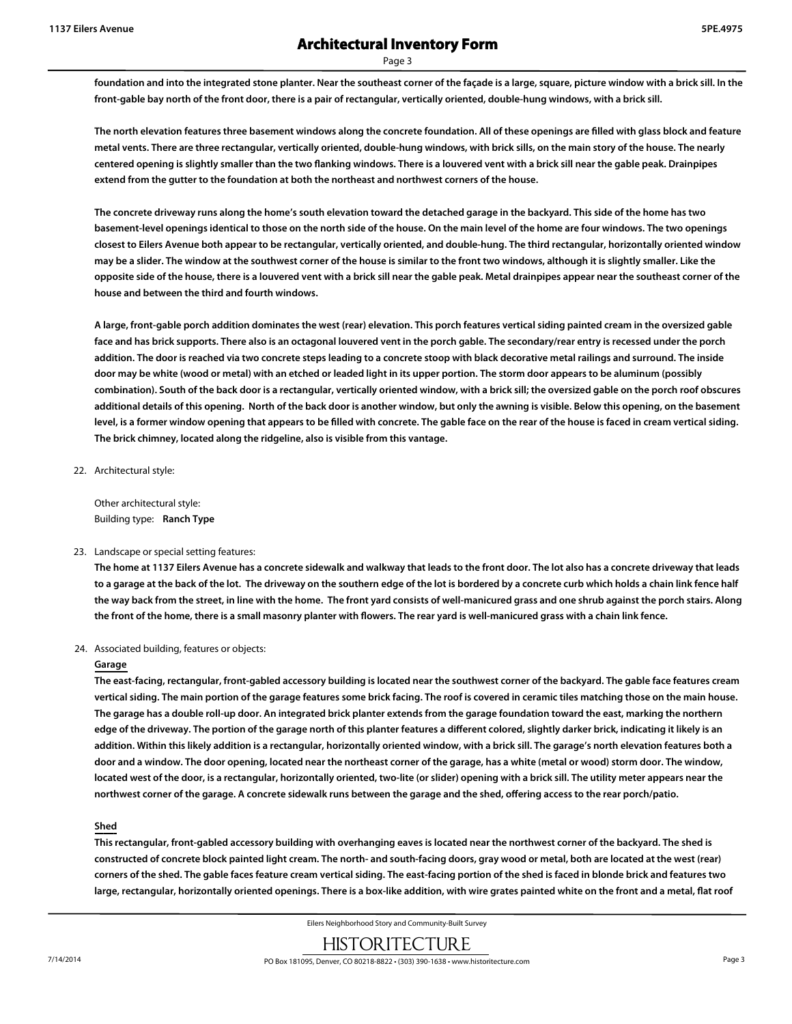**foundation and into the integrated stone planter. Near the southeast corner of the façade is a large, square, picture window with a brick sill. In the front-gable bay north of the front door, there is a pair of rectangular, vertically oriented, double-hung windows, with a brick sill.**

**The north elevation features three basement windows along the concrete foundation. All of these openings are filled with glass block and feature metal vents. There are three rectangular, vertically oriented, double-hung windows, with brick sills, on the main story of the house. The nearly centered opening is slightly smaller than the two flanking windows. There is a louvered vent with a brick sill near the gable peak. Drainpipes extend from the gutter to the foundation at both the northeast and northwest corners of the house.**

**The concrete driveway runs along the home's south elevation toward the detached garage in the backyard. This side of the home has two basement-level openings identical to those on the north side of the house. On the main level of the home are four windows. The two openings closest to Eilers Avenue both appear to be rectangular, vertically oriented, and double-hung. The third rectangular, horizontally oriented window may be a slider. The window at the southwest corner of the house is similar to the front two windows, although it is slightly smaller. Like the opposite side of the house, there is a louvered vent with a brick sill near the gable peak. Metal drainpipes appear near the southeast corner of the house and between the third and fourth windows.**

**A large, front-gable porch addition dominates the west (rear) elevation. This porch features vertical siding painted cream in the oversized gable face and has brick supports. There also is an octagonal louvered vent in the porch gable. The secondary/rear entry is recessed under the porch addition. The door is reached via two concrete steps leading to a concrete stoop with black decorative metal railings and surround. The inside door may be white (wood or metal) with an etched or leaded light in its upper portion. The storm door appears to be aluminum (possibly combination). South of the back door is a rectangular, vertically oriented window, with a brick sill; the oversized gable on the porch roof obscures additional details of this opening. North of the back door is another window, but only the awning is visible. Below this opening, on the basement level, is a former window opening that appears to be filled with concrete. The gable face on the rear of the house is faced in cream vertical siding. The brick chimney, located along the ridgeline, also is visible from this vantage.**

22. Architectural style:

Other architectural style: Building type: **Ranch Type**

#### 23. Landscape or special setting features:

**The home at 1137 Eilers Avenue has a concrete sidewalk and walkway that leads to the front door. The lot also has a concrete driveway that leads to a garage at the back of the lot. The driveway on the southern edge of the lot is bordered by a concrete curb which holds a chain link fence half the way back from the street, in line with the home. The front yard consists of well-manicured grass and one shrub against the porch stairs. Along the front of the home, there is a small masonry planter with flowers. The rear yard is well-manicured grass with a chain link fence.**

#### 24. Associated building, features or objects:

#### **Garage**

**The east-facing, rectangular, front-gabled accessory building is located near the southwest corner of the backyard. The gable face features cream vertical siding. The main portion of the garage features some brick facing. The roof is covered in ceramic tiles matching those on the main house. The garage has a double roll-up door. An integrated brick planter extends from the garage foundation toward the east, marking the northern edge of the driveway. The portion of the garage north of this planter features a different colored, slightly darker brick, indicating it likely is an addition. Within this likely addition is a rectangular, horizontally oriented window, with a brick sill. The garage's north elevation features both a door and a window. The door opening, located near the northeast corner of the garage, has a white (metal or wood) storm door. The window, located west of the door, is a rectangular, horizontally oriented, two-lite (or slider) opening with a brick sill. The utility meter appears near the northwest corner of the garage. A concrete sidewalk runs between the garage and the shed, offering access to the rear porch/patio.**

#### **Shed**

**This rectangular, front-gabled accessory building with overhanging eaves is located near the northwest corner of the backyard. The shed is constructed of concrete block painted light cream. The north- and south-facing doors, gray wood or metal, both are located at the west (rear) corners of the shed. The gable faces feature cream vertical siding. The east-facing portion of the shed is faced in blonde brick and features two large, rectangular, horizontally oriented openings. There is a box-like addition, with wire grates painted white on the front and a metal, flat roof**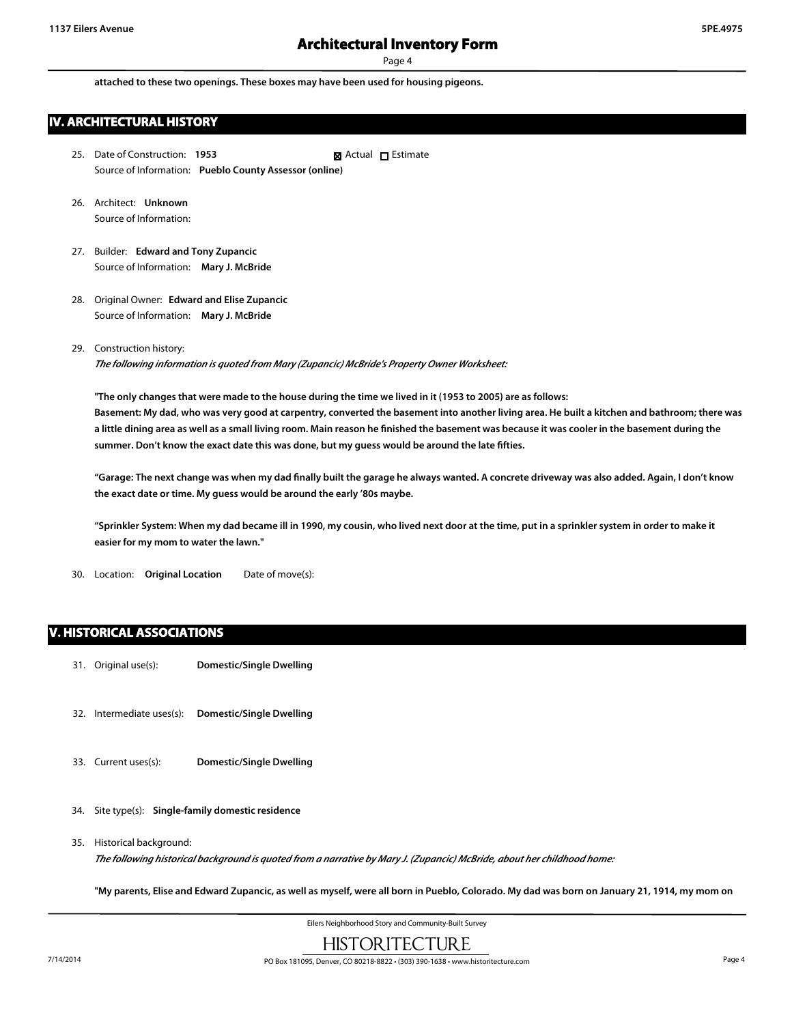**attached to these two openings. These boxes may have been used for housing pigeons.**

## **IV. ARCHITECTURAL HISTORY**

- 25. Date of Construction: **1953** Source of Information: **Pueblo County Assessor (online)** ■ Actual □ Estimate
- 26. Architect: **Unknown** Source of Information:
- 27. Builder: **Edward and Tony Zupancic** Source of Information: **Mary J. McBride**
- 28. Original Owner: **Edward and Elise Zupancic** Source of Information: **Mary J. McBride**
- 29. Construction history:

*The following information is quoted from Mary (Zupancic) McBride's Property Owner Worksheet:*

**"The only changes that were made to the house during the time we lived in it (1953 to 2005) are as follows: Basement: My dad, who was very good at carpentry, converted the basement into another living area. He built a kitchen and bathroom; there was a little dining area as well as a small living room. Main reason he finished the basement was because it was cooler in the basement during the summer. Don't know the exact date this was done, but my guess would be around the late fifties.**

**"Garage: The next change was when my dad finally built the garage he always wanted. A concrete driveway was also added. Again, I don't know the exact date or time. My guess would be around the early '80s maybe.**

**"Sprinkler System: When my dad became ill in 1990, my cousin, who lived next door at the time, put in a sprinkler system in order to make it easier for my mom to water the lawn."**

30. Location: **Original Location** Date of move(s):

#### **V. HISTORICAL ASSOCIATIONS**

- 31. Original use(s): **Domestic/Single Dwelling**
- 32. Intermediate uses(s): **Domestic/Single Dwelling**
- 33. Current uses(s): **Domestic/Single Dwelling**
- 34. Site type(s): **Single-family domestic residence**
- 35. Historical background: *The following historical background is quoted from a narrative by Mary J. (Zupancic) McBride, about her childhood home:*

**"My parents, Elise and Edward Zupancic, as well as myself, were all born in Pueblo, Colorado. My dad was born on January 21, 1914, my mom on**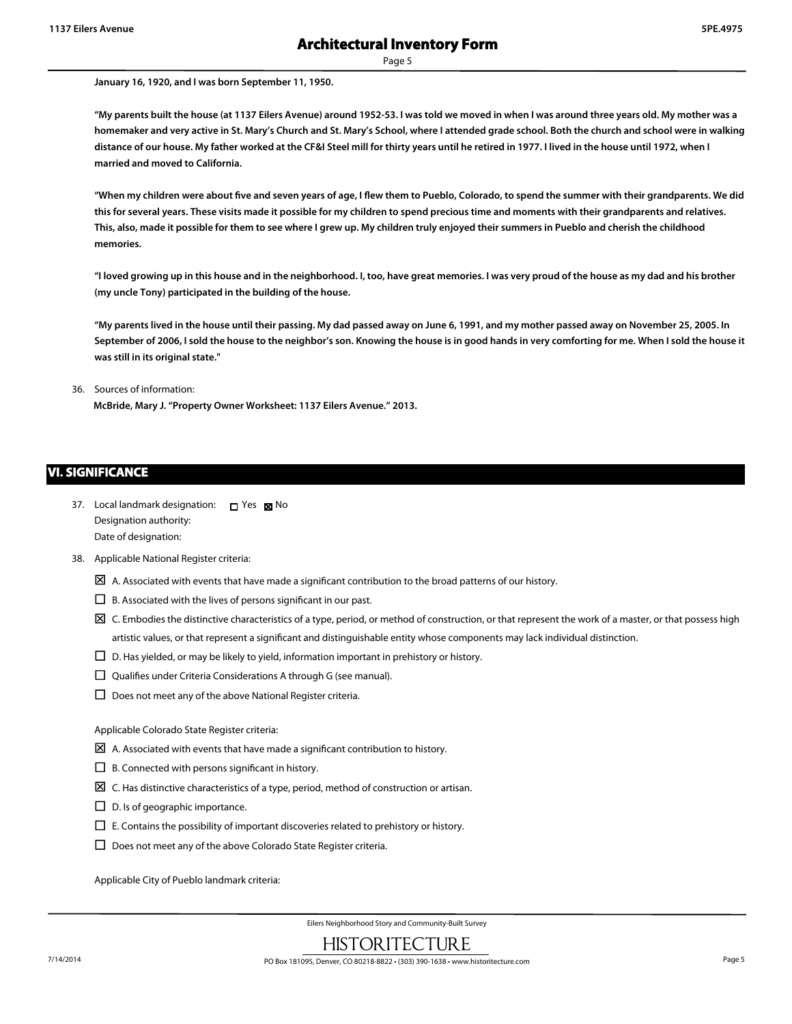**January 16, 1920, and I was born September 11, 1950.**

**"My parents built the house (at 1137 Eilers Avenue) around 1952-53. I was told we moved in when I was around three years old. My mother was a homemaker and very active in St. Mary's Church and St. Mary's School, where I attended grade school. Both the church and school were in walking distance of our house. My father worked at the CF&I Steel mill for thirty years until he retired in 1977. I lived in the house until 1972, when I married and moved to California.**

**"When my children were about five and seven years of age, I flew them to Pueblo, Colorado, to spend the summer with their grandparents. We did this for several years. These visits made it possible for my children to spend precious time and moments with their grandparents and relatives. This, also, made it possible for them to see where I grew up. My children truly enjoyed their summers in Pueblo and cherish the childhood memories.**

**"I loved growing up in this house and in the neighborhood. I, too, have great memories. I was very proud of the house as my dad and his brother (my uncle Tony) participated in the building of the house.**

**"My parents lived in the house until their passing. My dad passed away on June 6, 1991, and my mother passed away on November 25, 2005. In September of 2006, I sold the house to the neighbor's son. Knowing the house is in good hands in very comforting for me. When I sold the house it was still in its original state."**

#### 36. Sources of information:

**McBride, Mary J. "Property Owner Worksheet: 1137 Eilers Avenue." 2013.**

#### **VI. SIGNIFICANCE**

- 37. Local landmark designation:  $\Box$  Yes  $\boxtimes$  No Designation authority: Date of designation:
- 38. Applicable National Register criteria:
	- $\boxtimes$  A. Associated with events that have made a significant contribution to the broad patterns of our history.
	- $\square$  B. Associated with the lives of persons significant in our past.
	- $\boxtimes$  C. Embodies the distinctive characteristics of a type, period, or method of construction, or that represent the work of a master, or that possess high artistic values, or that represent a significant and distinguishable entity whose components may lack individual distinction.
	- $\square$  D. Has yielded, or may be likely to yield, information important in prehistory or history.
	- $\square$  Qualifies under Criteria Considerations A through G (see manual).
	- $\square$  Does not meet any of the above National Register criteria.

Applicable Colorado State Register criteria:

- $\boxtimes$  A. Associated with events that have made a significant contribution to history.
- $\square$  B. Connected with persons significant in history.
- $\boxtimes$  C. Has distinctive characteristics of a type, period, method of construction or artisan.
- $\square$  D. Is of geographic importance.
- $\square$  E. Contains the possibility of important discoveries related to prehistory or history.
- $\square$  Does not meet any of the above Colorado State Register criteria.

Applicable City of Pueblo landmark criteria: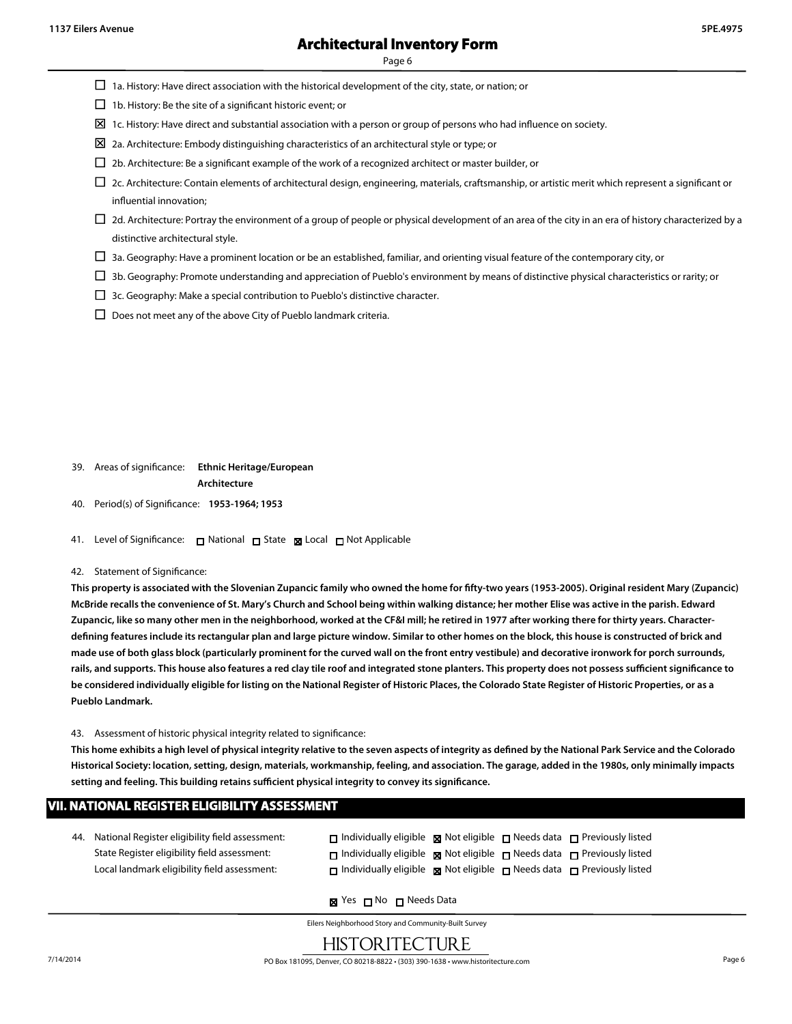- $\Box$  1a. History: Have direct association with the historical development of the city, state, or nation; or
- $\square$  1b. History: Be the site of a significant historic event; or
- $\boxtimes$  1c. History: Have direct and substantial association with a person or group of persons who had influence on society.
- $\boxtimes$  2a. Architecture: Embody distinguishing characteristics of an architectural style or type; or
- $\square$  2b. Architecture: Be a significant example of the work of a recognized architect or master builder, or
- $\Box$  2c. Architecture: Contain elements of architectural design, engineering, materials, craftsmanship, or artistic merit which represent a significant or influential innovation;
- $\Box$  2d. Architecture: Portray the environment of a group of people or physical development of an area of the city in an era of history characterized by a distinctive architectural style.
- $\Box$  3a. Geography: Have a prominent location or be an established, familiar, and orienting visual feature of the contemporary city, or
- $\Box$  3b. Geography: Promote understanding and appreciation of Pueblo's environment by means of distinctive physical characteristics or rarity; or
- $\Box$  3c. Geography: Make a special contribution to Pueblo's distinctive character.
- $\square$  Does not meet any of the above City of Pueblo landmark criteria.

- 39. Areas of significance: **Ethnic Heritage/European Architecture**
- 40. Period(s) of Significance: **1953-1964; 1953**
- 41. Level of Significance: □ National □ State Local □ Not Applicable

#### 42. Statement of Significance:

**This property is associated with the Slovenian Zupancic family who owned the home for fifty-two years (1953-2005). Original resident Mary (Zupancic) McBride recalls the convenience of St. Mary's Church and School being within walking distance; her mother Elise was active in the parish. Edward Zupancic, like so many other men in the neighborhood, worked at the CF&I mill; he retired in 1977 after working there for thirty years. Characterdefining features include its rectangular plan and large picture window. Similar to other homes on the block, this house is constructed of brick and made use of both glass block (particularly prominent for the curved wall on the front entry vestibule) and decorative ironwork for porch surrounds, rails, and supports. This house also features a red clay tile roof and integrated stone planters. This property does not possess sufficient significance to be considered individually eligible for listing on the National Register of Historic Places, the Colorado State Register of Historic Properties, or as a Pueblo Landmark.**

43. Assessment of historic physical integrity related to significance:

**This home exhibits a high level of physical integrity relative to the seven aspects of integrity as defined by the National Park Service and the Colorado Historical Society: location, setting, design, materials, workmanship, feeling, and association. The garage, added in the 1980s, only minimally impacts setting and feeling. This building retains sufficient physical integrity to convey its significance.**

#### **VII. NATIONAL REGISTER ELIGIBILITY ASSESSMENT**

44. National Register eligibility field assessment: State Register eligibility field assessment: Local landmark eligibility field assessment:

| $\Box$ Individually eligible $\Box$ Not eligible $\Box$ Needs data $\Box$ Previously listed |  |  |
|---------------------------------------------------------------------------------------------|--|--|
| $\Box$ Individually eligible $\Box$ Not eligible $\Box$ Needs data $\Box$ Previously listed |  |  |
| $\Box$ Individually eligible $\Box$ Not eligible $\Box$ Needs data $\Box$ Previously listed |  |  |

**x** Yes **□** No □ Needs Data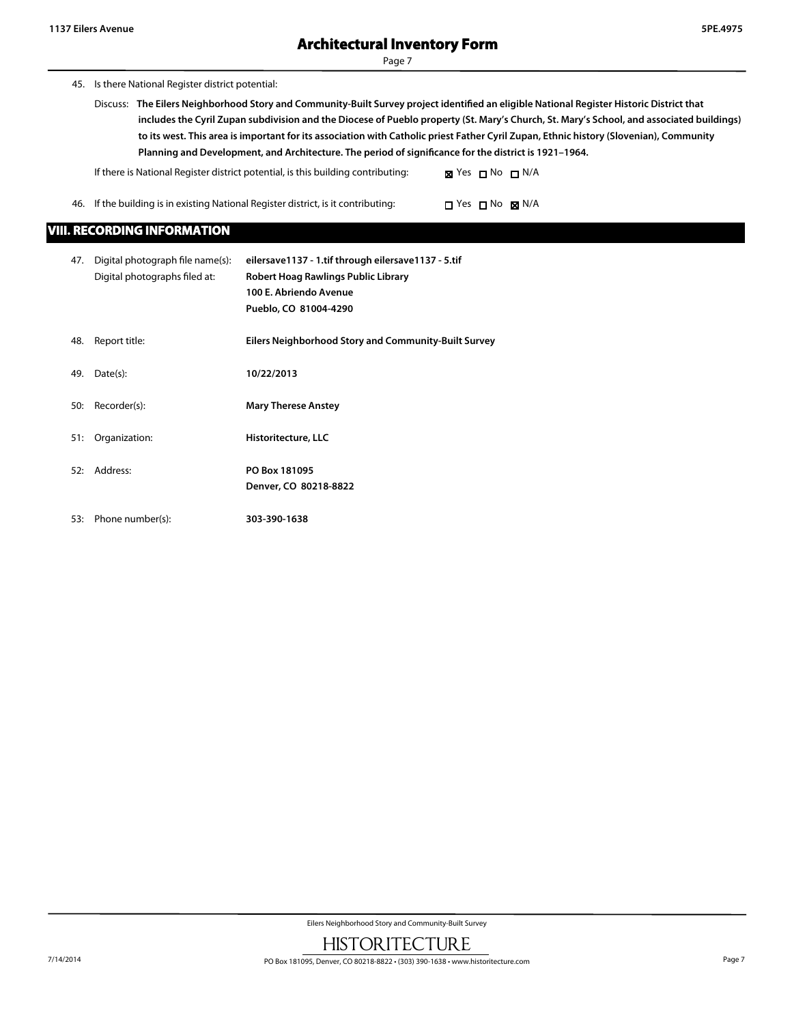45. Is there National Register district potential:

Discuss: **The Eilers Neighborhood Story and Community-Built Survey project identified an eligible National Register Historic District that includes the Cyril Zupan subdivision and the Diocese of Pueblo property (St. Mary's Church, St. Mary's School, and associated buildings) to its west. This area is important for its association with Catholic priest Father Cyril Zupan, Ethnic history (Slovenian), Community Planning and Development, and Architecture. The period of significance for the district is 1921–1964.**

If there is National Register district potential, is this building contributing:  $\boxtimes$  Yes  $\Box$  No  $\Box$  N/A

46. If the building is in existing National Register district, is it contributing:  $\Box$  Yes  $\Box$  No  $\boxtimes$  N/A

## **VIII. RECORDING INFORMATION**

| 47. | Digital photograph file name(s):<br>Digital photographs filed at: | eilersave1137 - 1.tif through eilersave1137 - 5.tif<br>Robert Hoag Rawlings Public Library<br>100 E. Abriendo Avenue<br>Pueblo, CO 81004-4290 |
|-----|-------------------------------------------------------------------|-----------------------------------------------------------------------------------------------------------------------------------------------|
| 48. | Report title:                                                     | <b>Eilers Neighborhood Story and Community-Built Survey</b>                                                                                   |
| 49. | Date(s):                                                          | 10/22/2013                                                                                                                                    |
| 50: | Recorder(s):                                                      | <b>Mary Therese Anstey</b>                                                                                                                    |
| 51: | Organization:                                                     | Historitecture, LLC                                                                                                                           |
| 52: | Address:                                                          | PO Box 181095<br>Denver, CO 80218-8822                                                                                                        |
| 53: | Phone number(s):                                                  | 303-390-1638                                                                                                                                  |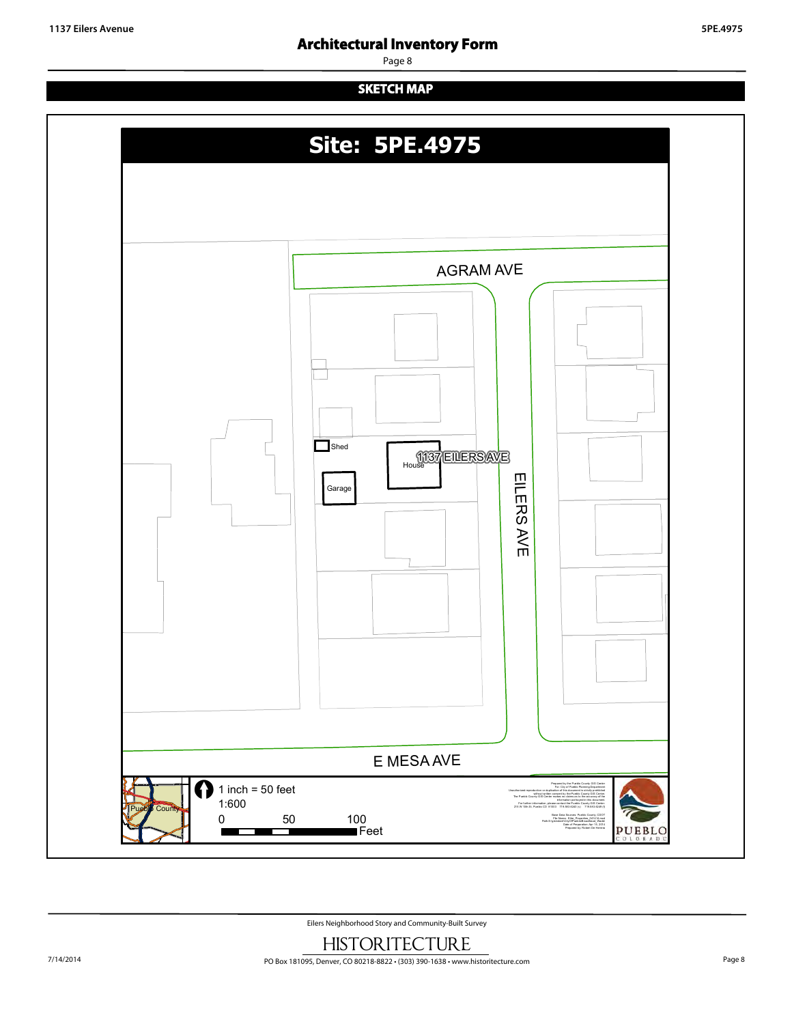## **Architectural Inventory Form**

Page 8

## **SKETCH MAP**